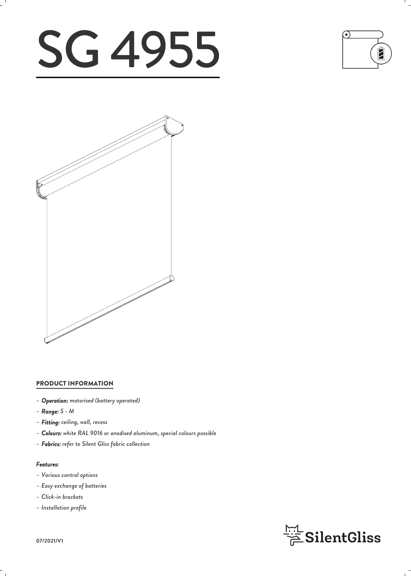# SG 4955





### PRODUCT INFORMATION

- *– Operation: motorised (battery operated)*
- *– Range: S M*
- *– Fitting: ceiling, wall, recess*
- *– Colours: white RAL 9016 or anodised aluminum, special colours possible*
- *– Fabrics: refer to Silent Gliss fabric collection*

#### *Features:*

- *– Various control options*
- *– Easy exchange of batteries*
- *– Click-in brackets*
- *– Installation profile*



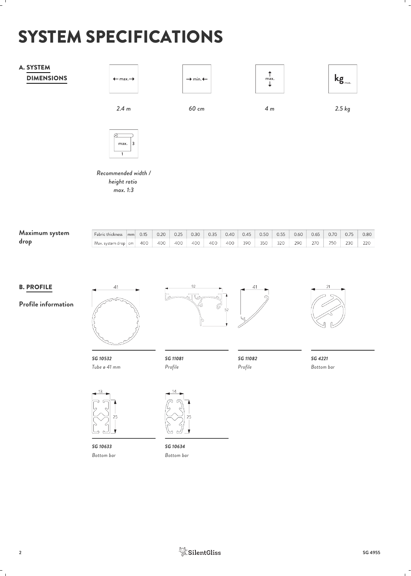# SYSTEM SPECIFICATIONS





*Recommended width / height ratio max. 1:3*

| Maximum system | <b>Fabric thickness</b> | mm | 0.15 | 0.20 | 0.25 | 0.30 | 0.35 | 0.40 | 0.45 | 0.50 | 0.55 | 0.60 | 0.65 | 0.70 | 0.75 | 0.80 |
|----------------|-------------------------|----|------|------|------|------|------|------|------|------|------|------|------|------|------|------|
| drop           | Max. system drop   cm   |    | 400  | 400  | 400  | 400  | 400  | 400  | 390  | 350  | 320  | 290  | 270  | 250  | 230  | 220  |

o.

n To

### **B. PROFILE**  $41$

**Profile information**



*SG 10532 Tube ø 41 mm*



ro.



٦

6  $52$ 

> *SG 11082 Profile*

 $41$ 



*SG 4221 Bottom bar*



*SG 10633 SG 10634 Bottom bar*

*Bottom bar*

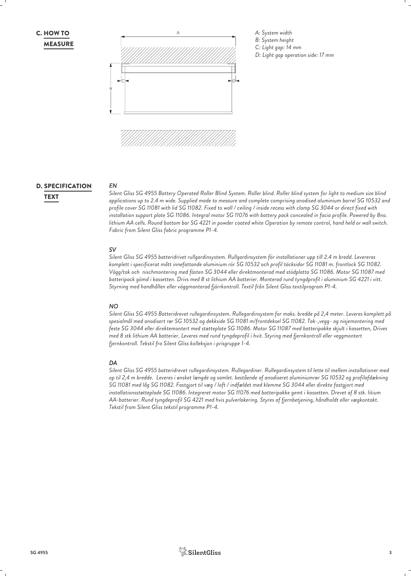**MEASURE** C. HOW TO



*A: System width* 

*B: System height C: Light gap: 14 mm* 

*D: Light gap operation side: 17 mm*

### D. SPECIFICATION EN EN

#### *EN*

*Silent Gliss SG 4955 Battery Operated Roller Blind System. Roller blind. Roller blind system for light to medium size blind applications up to 2.4 m wide. Supplied made to measure and complete comprising anodised aluminium barrel SG 10532 and* TEXT *profile cover SG 11081 with lid SG 11082. Fixed to wall / ceiling / inside recess with clamp SG 3044 or direct fixed with installation support plate SG 11086. Integral motor SG 11076 with battery pack concealed in facia profile. Powered by 8no. lithium AA cells. Round bottom bar SG 4221 in powder coated white Operation by remote control, hand held or wall switch. Fabric from Silent Gliss fabric programme P1-4.*

### *SV*

*Silent Gliss SG 4955 batteridrivet rullgardinsystem. Rullgardinsystem för installationer upp till 2.4 m bredd. Levereras komplett i specificerat mått innefattande aluminium rör SG 10532 och profil täcksidor SG 11081 m. frontlock SG 11082. Vägg/tak och nischmontering med fästen SG 3044 eller direktmonterad med stödplatta SG 11086. Motor SG 11087 med batteripack gömd i kassetten. Drivs med 8 st lithium AA batterier. Monterad rund tyngdprofil i aluminium SG 4221 i vitt. Styrning med handhållen eller väggmonterad fjärrkontroll. Textil från Silent Gliss textilprogram P1-4.*

### *NO*

*Silent Gliss SG 4955 Batteridrevet rullegardinsystem. Rullegardinsystem for maks. bredde på 2,4 meter. Leveres komplett på spesialmål med anodisert rør SG 10532 og dekkside SG 11081 m/frontdeksel SG 11082. Tak-,vegg- og nisjemontering med feste SG 3044 eller direktemontert med støtteplate SG 11086. Motor SG 11087 med batteripakke skjult i kassetten, Drives med 8 stk lithium AA batterier. Leveres med rund tyngdeprofil i hvit. Styring med fjernkontroll eller veggmontert fjernkontroll. Tekstil fra Silent Gliss kolleksjon i prisgruppe 1-4.*

### *DA*

*Silent Gliss SG 4955 batteridrevet rullegardinsystem. Rullegardiner. Rullegardinsystem til lette til mellem installationer med op til 2,4 m bredde. Leveres i ønsket længde og samlet. bestående af anodiseret aluminiumrør SG 10532 og profilafdækning SG 11081 med låg SG 11082. Fastgjort til væg / loft / indfældet med klemme SG 3044 eller direkte fastgjort med installationsstøtteplade SG 11086. Integreret motor SG 11076 med batteripakke gemt i kassetten. Drevet af 8 stk. litium AA-batterier. Rund tyngdeprofil SG 4221 med hvis pulverlakering. Styres af fjernbetjening, håndholdt eller vægkontakt. Tekstil from Silent Gliss tekstil programme P1-4.*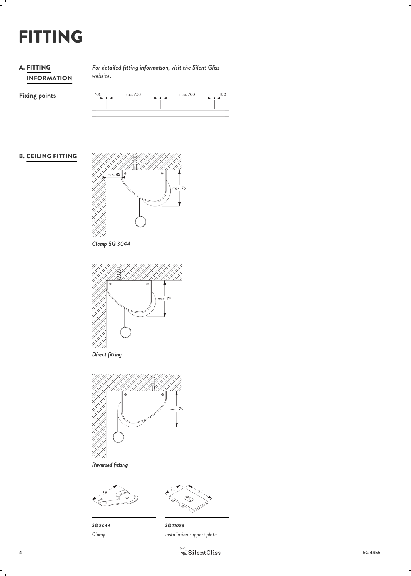### FITTING

### **INFORMATION A. FITTING**

*For detailed fitting information, visit the Silent Gliss* FITTING *website.*



#### B. CEILING FITTING



*Clamp SG 3044*



*Direct fitting*



#### *Reversed fitting*

*SG 3044 SG 11086 Clamp Installation support plate*

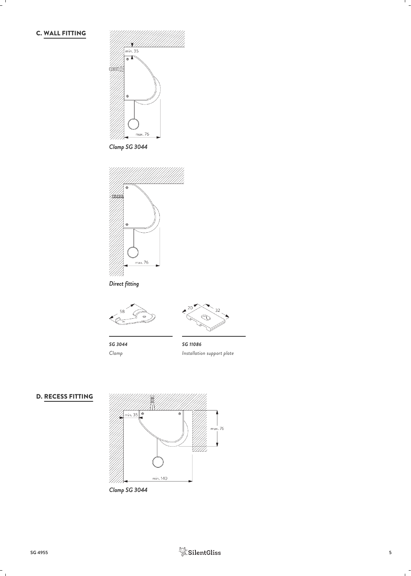C. WALL FITTING





*Direct fitting*

*SG 3044 SG 11086 Clamp Installation support plate*



*Clamp SG 3044*

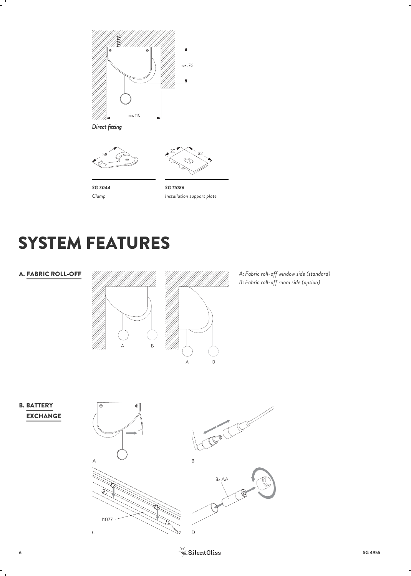

*Direct fitting*





*SG 3044 SG 11086 Clamp Installation support plate*

### SYSTEM FEATURES



*Fabric roll-off window side (standard) Fabric roll-off room side (option) B:*

EXCHANGE

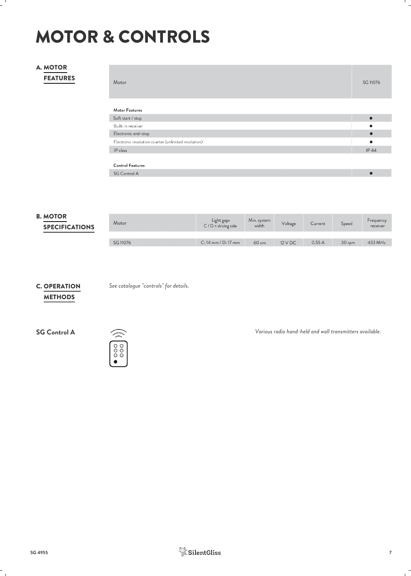### MOTOR & CONTROLS

### FEATURES

| A. MOTOR<br><b>FEATURES</b> | Motor                                                | SG 11076  |
|-----------------------------|------------------------------------------------------|-----------|
|                             | Motor Features                                       |           |
|                             | Soft start / stop                                    | $\bullet$ |
|                             | Built-in receiver                                    | $\bullet$ |
|                             | Electronic end-stop                                  | $\bullet$ |
|                             | Electronic revolution counter (unlimited revolution) | $\bullet$ |
|                             | IP class                                             | IP 44     |
|                             |                                                      |           |
|                             | <b>Control Features</b>                              |           |
|                             | <b>SG Control A</b>                                  |           |

### SPECIFICATIONS

| B. MOTOR              |          | Light gaps             | Min. system     | Voltage | Current | Speed    | Frequency |  |
|-----------------------|----------|------------------------|-----------------|---------|---------|----------|-----------|--|
| <b>SPECIFICATIONS</b> | Motor    | $C/D =$ driving side   | width           |         |         |          | receiver  |  |
|                       |          |                        |                 |         |         |          |           |  |
|                       | SG 11076 | $C: 14$ mm $/D: 17$ mm | $60 \text{ cm}$ | 12 V DC | 0.55A   | $30$ rpm | 433 MHz   |  |
|                       |          |                        |                 |         |         |          |           |  |

### **METHODS C. OPERATION**

*See catalogue "controls" for details.* OPERATION



**SG Control A** *Various radio hand-held and wall transmitters available.*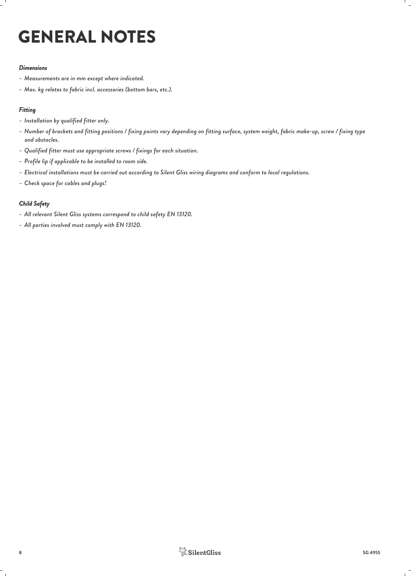## GENERAL NOTES

#### *Dimensions*

- *– Measurements are in mm except where indicated.*
- *– Max. kg relates to fabric incl. accessories (bottom bars, etc.).*

### *Fitting*

- *– Installation by qualified fitter only.*
- *– Number of brackets and fitting positions / fixing points vary depending on fitting surface, system weight, fabric make-up, screw / fixing type and obstacles.*
- *– Qualified fitter must use appropriate screws / fixings for each situation.*
- *– Profile lip if applicable to be installed to room side.*
- *– Electrical installations must be carried out according to Silent Gliss wiring diagrams and conform to local regulations.*
- *– Check space for cables and plugs!*

### *Child Safety*

- *– All relevant Silent Gliss systems correspond to child safety EN 13120.*
- *– All parties involved must comply with EN 13120.*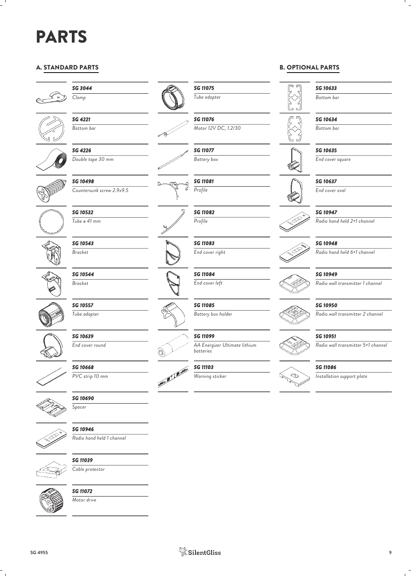### PARTS

### A. STANDARD PARTS



#### *SG 3044*

*Clamp*



*SG 4221 Bottom bar*



*SG 4226 Double tape 30 mm*

*SG 10498 Countersunk screw 2.9x9.5*



*SG 10532 Tube ø 41 mm*



*SG 10543 Bracket*

*SG 10544 Bracket*



*SG 10557 Tube adapter*

*SG 10639 End cover round*



*SG 10690*

*PVC strip 10 mm*

*Spacer*

*SG 11039 Cable protector*



*SG 10946 Radio hand held 1 channel*



*SG 11072 Motor drive*





















*Warning sticker*

*Tube adapter*

*SG 11076 Motor 12V DC, 1.2/30*

*SG 11077 Battery box*

*Profile*

*SG 11075*

*SG 11081*

*SG 11082*

*SG 11083 End cover right*

*SG 11084 End cover left*

*Battery box holder*

*SG 11099 AA Energizer Ultimate lithium batteries*

**SG 11103**<br>Warning sticker<br>
Second the state of the state of the state of the state of the state of the state of the state of the state of the state of the state of the state of the state of the state of the state of the s

*Installation support plate*



*SG 10633*

*Bottom bar*

*SG 10634*

*Bottom bar*

### *SG 10635*

*End cover square*

*SG 10637*

*End cover oval*



*SG 10947*

### *SG 10948*

*Radio hand held 6+1 channel*

*Radio hand held 2+1 channel*

### *SG 10949*

*Radio wall transmitter 1 channel*



*Radio wall transmitter 2 channel*

*SG 10951*

*Radio wall transmitter 5+1 channel*

*SG 11086*

**SG 4955 9**



*SG 11085*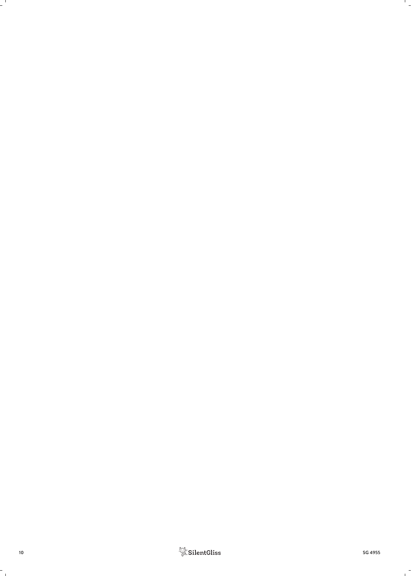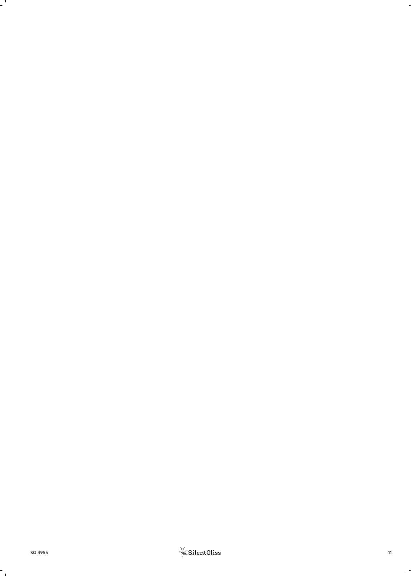